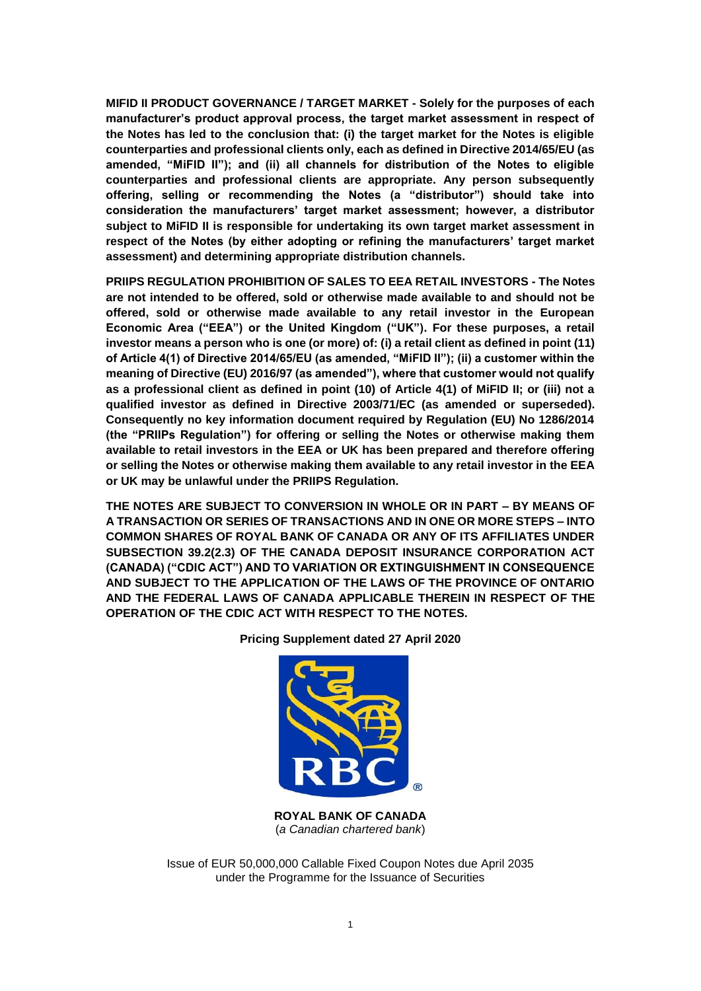**MIFID II PRODUCT GOVERNANCE / TARGET MARKET - Solely for the purposes of each manufacturer's product approval process, the target market assessment in respect of the Notes has led to the conclusion that: (i) the target market for the Notes is eligible counterparties and professional clients only, each as defined in Directive 2014/65/EU (as amended, "MiFID II"); and (ii) all channels for distribution of the Notes to eligible counterparties and professional clients are appropriate. Any person subsequently offering, selling or recommending the Notes (a "distributor") should take into consideration the manufacturers' target market assessment; however, a distributor subject to MiFID II is responsible for undertaking its own target market assessment in respect of the Notes (by either adopting or refining the manufacturers' target market assessment) and determining appropriate distribution channels.**

**PRIIPS REGULATION PROHIBITION OF SALES TO EEA RETAIL INVESTORS - The Notes are not intended to be offered, sold or otherwise made available to and should not be offered, sold or otherwise made available to any retail investor in the European Economic Area ("EEA") or the United Kingdom ("UK"). For these purposes, a retail investor means a person who is one (or more) of: (i) a retail client as defined in point (11) of Article 4(1) of Directive 2014/65/EU (as amended, "MiFID II"); (ii) a customer within the meaning of Directive (EU) 2016/97 (as amended"), where that customer would not qualify as a professional client as defined in point (10) of Article 4(1) of MiFID II; or (iii) not a qualified investor as defined in Directive 2003/71/EC (as amended or superseded). Consequently no key information document required by Regulation (EU) No 1286/2014 (the "PRIIPs Regulation") for offering or selling the Notes or otherwise making them available to retail investors in the EEA or UK has been prepared and therefore offering or selling the Notes or otherwise making them available to any retail investor in the EEA or UK may be unlawful under the PRIIPS Regulation.**

**THE NOTES ARE SUBJECT TO CONVERSION IN WHOLE OR IN PART – BY MEANS OF A TRANSACTION OR SERIES OF TRANSACTIONS AND IN ONE OR MORE STEPS – INTO COMMON SHARES OF ROYAL BANK OF CANADA OR ANY OF ITS AFFILIATES UNDER SUBSECTION 39.2(2.3) OF THE CANADA DEPOSIT INSURANCE CORPORATION ACT (CANADA) ("CDIC ACT") AND TO VARIATION OR EXTINGUISHMENT IN CONSEQUENCE AND SUBJECT TO THE APPLICATION OF THE LAWS OF THE PROVINCE OF ONTARIO AND THE FEDERAL LAWS OF CANADA APPLICABLE THEREIN IN RESPECT OF THE OPERATION OF THE CDIC ACT WITH RESPECT TO THE NOTES.**



**Pricing Supplement dated 27 April 2020**

**ROYAL BANK OF CANADA** (*a Canadian chartered bank*)

Issue of EUR 50,000,000 Callable Fixed Coupon Notes due April 2035 under the Programme for the Issuance of Securities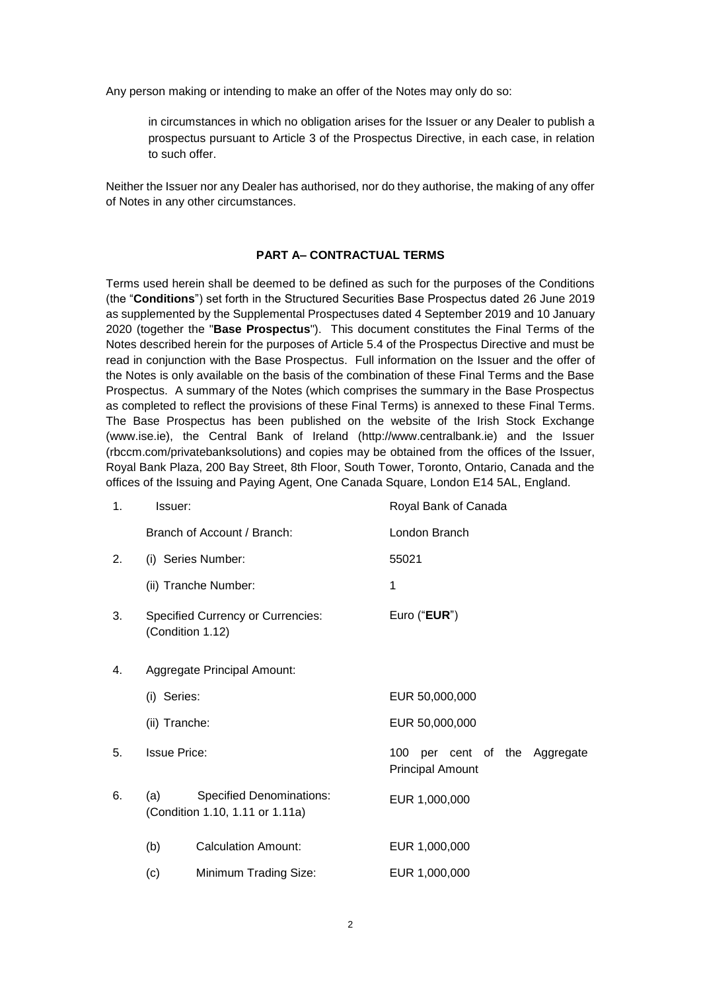Any person making or intending to make an offer of the Notes may only do so:

in circumstances in which no obligation arises for the Issuer or any Dealer to publish a prospectus pursuant to Article 3 of the Prospectus Directive, in each case, in relation to such offer.

Neither the Issuer nor any Dealer has authorised, nor do they authorise, the making of any offer of Notes in any other circumstances.

### **PART A– CONTRACTUAL TERMS**

Terms used herein shall be deemed to be defined as such for the purposes of the Conditions (the "**Conditions**") set forth in the Structured Securities Base Prospectus dated 26 June 2019 as supplemented by the Supplemental Prospectuses dated 4 September 2019 and 10 January 2020 (together the "**Base Prospectus**"). This document constitutes the Final Terms of the Notes described herein for the purposes of Article 5.4 of the Prospectus Directive and must be read in conjunction with the Base Prospectus. Full information on the Issuer and the offer of the Notes is only available on the basis of the combination of these Final Terms and the Base Prospectus. A summary of the Notes (which comprises the summary in the Base Prospectus as completed to reflect the provisions of these Final Terms) is annexed to these Final Terms. The Base Prospectus has been published on the website of the Irish Stock Exchange (www.ise.ie), the Central Bank of Ireland (http://www.centralbank.ie) and the Issuer (rbccm.com/privatebanksolutions) and copies may be obtained from the offices of the Issuer, Royal Bank Plaza, 200 Bay Street, 8th Floor, South Tower, Toronto, Ontario, Canada and the offices of the Issuing and Paying Agent, One Canada Square, London E14 5AL, England.

| 1. | Issuer:                     |                                                                    | Royal Bank of Canada                                     |  |
|----|-----------------------------|--------------------------------------------------------------------|----------------------------------------------------------|--|
|    |                             | Branch of Account / Branch:                                        | London Branch                                            |  |
| 2. |                             | (i) Series Number:                                                 | 55021                                                    |  |
|    |                             | (ii) Tranche Number:                                               | 1                                                        |  |
| 3. |                             | <b>Specified Currency or Currencies:</b><br>(Condition 1.12)       | Euro ("EUR")                                             |  |
| 4. | Aggregate Principal Amount: |                                                                    |                                                          |  |
|    | (i) Series:                 |                                                                    | EUR 50,000,000                                           |  |
|    | (ii) Tranche:               |                                                                    | EUR 50,000,000                                           |  |
| 5. | <b>Issue Price:</b>         |                                                                    | 100 per cent of the Aggregate<br><b>Principal Amount</b> |  |
| 6. | (a)                         | <b>Specified Denominations:</b><br>(Condition 1.10, 1.11 or 1.11a) | EUR 1,000,000                                            |  |
|    | (b)                         | <b>Calculation Amount:</b>                                         | EUR 1,000,000                                            |  |
|    | (c)                         | Minimum Trading Size:                                              | EUR 1,000,000                                            |  |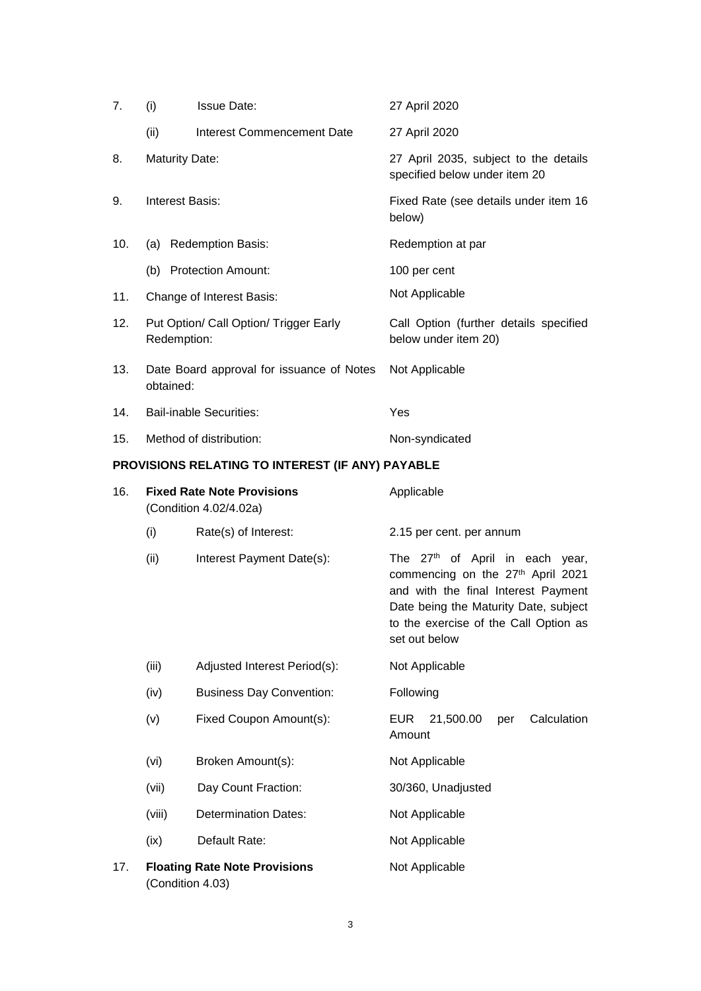| 7.  | (i)                    | <b>Issue Date:</b>                                          | 27 April 2020                                                                                                                                                                                                              |  |
|-----|------------------------|-------------------------------------------------------------|----------------------------------------------------------------------------------------------------------------------------------------------------------------------------------------------------------------------------|--|
|     | (ii)                   | Interest Commencement Date                                  | 27 April 2020                                                                                                                                                                                                              |  |
| 8.  | <b>Maturity Date:</b>  |                                                             | 27 April 2035, subject to the details<br>specified below under item 20                                                                                                                                                     |  |
| 9.  | <b>Interest Basis:</b> |                                                             | Fixed Rate (see details under item 16<br>below)                                                                                                                                                                            |  |
| 10. |                        | (a) Redemption Basis:                                       | Redemption at par                                                                                                                                                                                                          |  |
|     |                        | (b) Protection Amount:                                      | 100 per cent                                                                                                                                                                                                               |  |
| 11. |                        | Change of Interest Basis:                                   | Not Applicable                                                                                                                                                                                                             |  |
| 12. | Redemption:            | Put Option/ Call Option/ Trigger Early                      | Call Option (further details specified<br>below under item 20)                                                                                                                                                             |  |
| 13. | obtained:              | Date Board approval for issuance of Notes                   | Not Applicable                                                                                                                                                                                                             |  |
| 14. |                        | <b>Bail-inable Securities:</b>                              | Yes                                                                                                                                                                                                                        |  |
| 15. |                        | Method of distribution:                                     | Non-syndicated                                                                                                                                                                                                             |  |
|     |                        | PROVISIONS RELATING TO INTEREST (IF ANY) PAYABLE            |                                                                                                                                                                                                                            |  |
| 16. |                        | <b>Fixed Rate Note Provisions</b><br>(Condition 4.02/4.02a) | Applicable                                                                                                                                                                                                                 |  |
|     | (i)                    | Rate(s) of Interest:                                        | 2.15 per cent. per annum                                                                                                                                                                                                   |  |
|     | (ii)                   | Interest Payment Date(s):                                   | The 27 <sup>th</sup> of April in each year,<br>commencing on the 27th April 2021<br>and with the final Interest Payment<br>Date being the Maturity Date, subject<br>to the exercise of the Call Option as<br>set out below |  |
|     | (iii)                  | Adjusted Interest Period(s):                                | Not Applicable                                                                                                                                                                                                             |  |
|     | (iv)                   | <b>Business Day Convention:</b>                             | Following                                                                                                                                                                                                                  |  |
|     | (v)                    | Fixed Coupon Amount(s):                                     | Calculation<br>EUR<br>21,500.00<br>per<br>Amount                                                                                                                                                                           |  |
|     | (vi)                   | Broken Amount(s):                                           | Not Applicable                                                                                                                                                                                                             |  |
|     | (vii)                  | Day Count Fraction:                                         | 30/360, Unadjusted                                                                                                                                                                                                         |  |
|     | (viii)                 | <b>Determination Dates:</b>                                 | Not Applicable                                                                                                                                                                                                             |  |
|     | (ix)                   | Default Rate:                                               | Not Applicable                                                                                                                                                                                                             |  |
| 17. | (Condition 4.03)       | <b>Floating Rate Note Provisions</b>                        | Not Applicable                                                                                                                                                                                                             |  |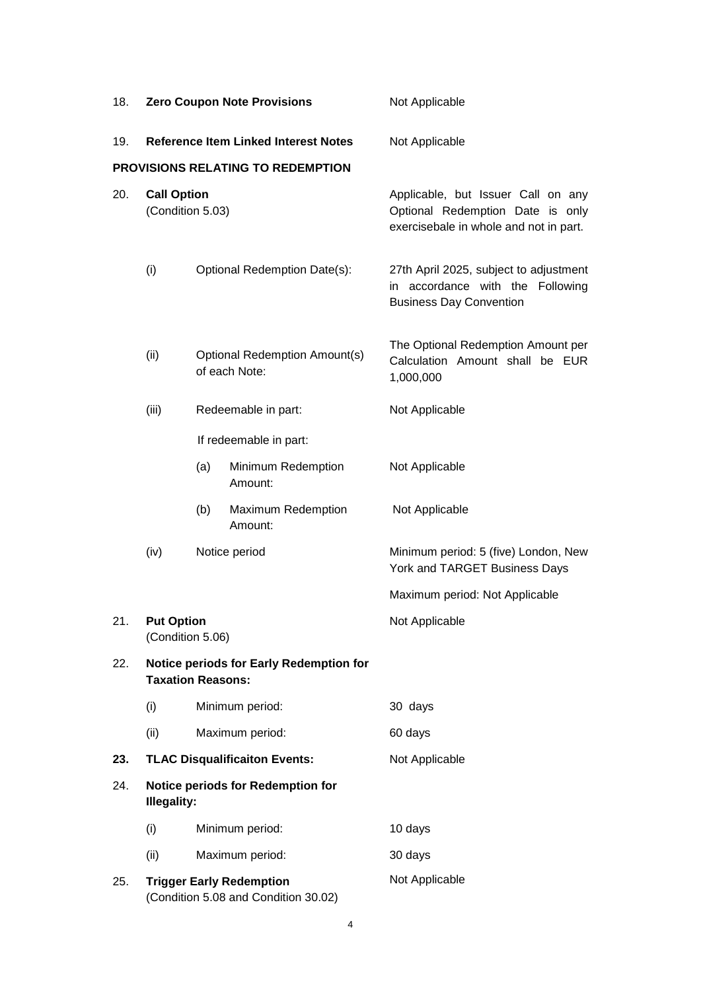| 18. | <b>Zero Coupon Note Provisions</b>                                                       |                              |                                   | Not Applicable                                                                                                   |
|-----|------------------------------------------------------------------------------------------|------------------------------|-----------------------------------|------------------------------------------------------------------------------------------------------------------|
| 19. | <b>Reference Item Linked Interest Notes</b>                                              |                              |                                   | Not Applicable                                                                                                   |
|     |                                                                                          |                              | PROVISIONS RELATING TO REDEMPTION |                                                                                                                  |
| 20. | <b>Call Option</b><br>(Condition 5.03)                                                   |                              |                                   | Applicable, but Issuer Call on any<br>Optional Redemption Date is only<br>exercisebale in whole and not in part. |
|     | (i)                                                                                      | Optional Redemption Date(s): |                                   | 27th April 2025, subject to adjustment<br>in accordance with the Following<br><b>Business Day Convention</b>     |
|     | (ii)<br>Optional Redemption Amount(s)<br>of each Note:                                   |                              |                                   | The Optional Redemption Amount per<br>Calculation Amount shall be EUR<br>1,000,000                               |
|     | (iii)                                                                                    |                              | Redeemable in part:               | Not Applicable                                                                                                   |
|     | If redeemable in part:                                                                   |                              |                                   |                                                                                                                  |
|     |                                                                                          | (a)                          | Minimum Redemption<br>Amount:     | Not Applicable                                                                                                   |
|     |                                                                                          | (b)                          | Maximum Redemption<br>Amount:     | Not Applicable                                                                                                   |
|     | (iv)                                                                                     |                              | Notice period                     | Minimum period: 5 (five) London, New<br>York and TARGET Business Days                                            |
|     |                                                                                          |                              |                                   | Maximum period: Not Applicable                                                                                   |
| 21. | <b>Put Option</b><br>(Condition 5.06)                                                    |                              |                                   | Not Applicable                                                                                                   |
| 22. | Notice periods for Early Redemption for<br><b>Taxation Reasons:</b>                      |                              |                                   |                                                                                                                  |
|     | (i)                                                                                      |                              | Minimum period:                   | 30 days                                                                                                          |
|     | (ii)                                                                                     |                              | Maximum period:                   | 60 days                                                                                                          |
| 23. | <b>TLAC Disqualificaiton Events:</b>                                                     |                              |                                   | Not Applicable                                                                                                   |
| 24. | <b>Notice periods for Redemption for</b><br><b>Illegality:</b><br>(i)<br>Minimum period: |                              |                                   |                                                                                                                  |
|     |                                                                                          |                              |                                   | 10 days                                                                                                          |
|     | (ii)                                                                                     |                              | Maximum period:                   | 30 days                                                                                                          |
| 25. | <b>Trigger Early Redemption</b><br>(Condition 5.08 and Condition 30.02)                  |                              |                                   | Not Applicable                                                                                                   |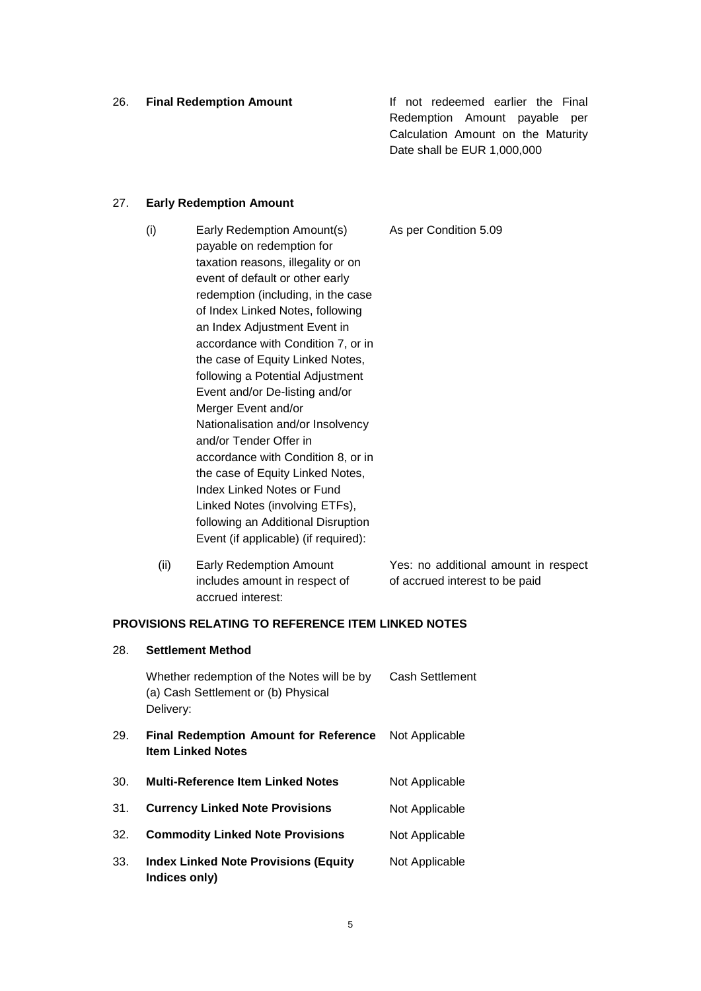26. **Final Redemption Amount** If not redeemed earlier the Final Redemption Amount payable per Calculation Amount on the Maturity Date shall be EUR 1,000,000

### 27. **Early Redemption Amount**

28. **Settlement Method**

- (i) Early Redemption Amount(s) payable on redemption for taxation reasons, illegality or on event of default or other early redemption (including, in the case of Index Linked Notes, following an Index Adjustment Event in accordance with Condition 7, or in the case of Equity Linked Notes, following a Potential Adjustment Event and/or De-listing and/or Merger Event and/or Nationalisation and/or Insolvency and/or Tender Offer in accordance with Condition 8, or in the case of Equity Linked Notes, Index Linked Notes or Fund Linked Notes (involving ETFs), following an Additional Disruption Event (if applicable) (if required): As per Condition 5.09
	- (ii) Early Redemption Amount includes amount in respect of accrued interest: Yes: no additional amount in respect of accrued interest to be paid

## **PROVISIONS RELATING TO REFERENCE ITEM LINKED NOTES**

|     | Whether redemption of the Notes will be by<br>(a) Cash Settlement or (b) Physical<br>Delivery: | <b>Cash Settlement</b> |
|-----|------------------------------------------------------------------------------------------------|------------------------|
| 29. | <b>Final Redemption Amount for Reference</b><br><b>Item Linked Notes</b>                       | Not Applicable         |
| 30. | <b>Multi-Reference Item Linked Notes</b>                                                       | Not Applicable         |
| 31. | <b>Currency Linked Note Provisions</b>                                                         | Not Applicable         |
| 32. | <b>Commodity Linked Note Provisions</b>                                                        | Not Applicable         |
| 33. | <b>Index Linked Note Provisions (Equity</b><br>Indices only)                                   | Not Applicable         |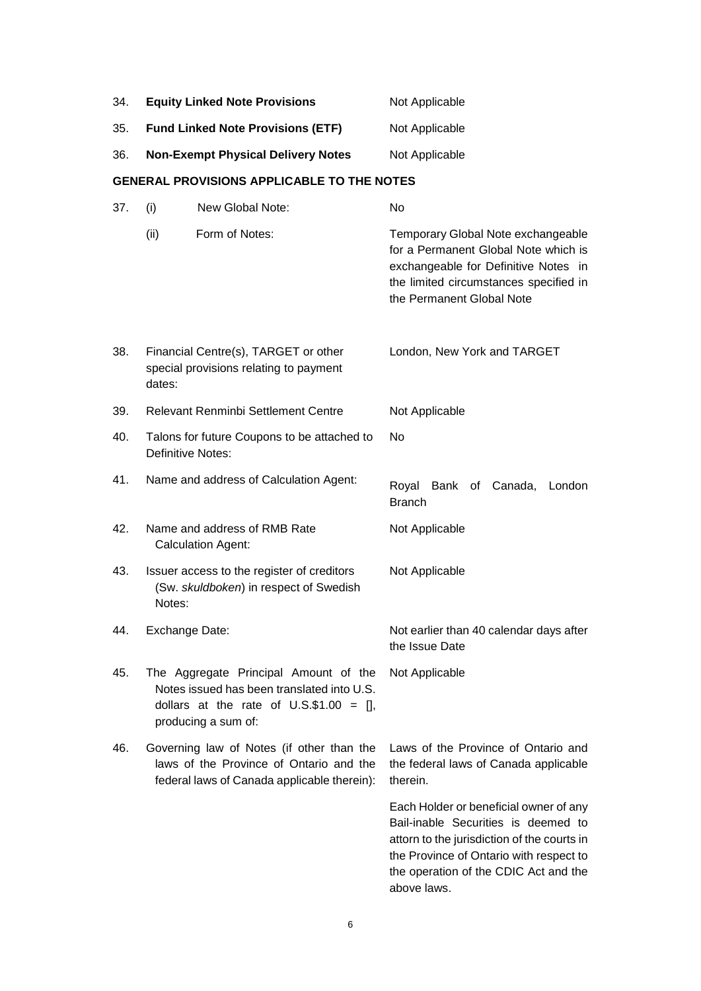| 34. | <b>Equity Linked Note Provisions</b>                                                           |                                                                                                                                                           | Not Applicable                                                                                                                                                                                                                  |  |
|-----|------------------------------------------------------------------------------------------------|-----------------------------------------------------------------------------------------------------------------------------------------------------------|---------------------------------------------------------------------------------------------------------------------------------------------------------------------------------------------------------------------------------|--|
| 35. | <b>Fund Linked Note Provisions (ETF)</b>                                                       |                                                                                                                                                           | Not Applicable                                                                                                                                                                                                                  |  |
| 36. |                                                                                                | <b>Non-Exempt Physical Delivery Notes</b>                                                                                                                 | Not Applicable                                                                                                                                                                                                                  |  |
|     |                                                                                                | <b>GENERAL PROVISIONS APPLICABLE TO THE NOTES</b>                                                                                                         |                                                                                                                                                                                                                                 |  |
| 37. | (i)                                                                                            | New Global Note:                                                                                                                                          | No                                                                                                                                                                                                                              |  |
|     | (ii)                                                                                           | Form of Notes:                                                                                                                                            | Temporary Global Note exchangeable<br>for a Permanent Global Note which is<br>exchangeable for Definitive Notes in<br>the limited circumstances specified in<br>the Permanent Global Note                                       |  |
| 38. | dates:                                                                                         | Financial Centre(s), TARGET or other<br>special provisions relating to payment                                                                            | London, New York and TARGET                                                                                                                                                                                                     |  |
| 39. |                                                                                                | <b>Relevant Renminbi Settlement Centre</b>                                                                                                                | Not Applicable                                                                                                                                                                                                                  |  |
| 40. | <b>Definitive Notes:</b>                                                                       | Talons for future Coupons to be attached to                                                                                                               | No                                                                                                                                                                                                                              |  |
| 41. |                                                                                                | Name and address of Calculation Agent:                                                                                                                    | Royal<br>Bank of Canada,<br>London<br><b>Branch</b>                                                                                                                                                                             |  |
| 42. |                                                                                                | Name and address of RMB Rate<br><b>Calculation Agent:</b>                                                                                                 | Not Applicable                                                                                                                                                                                                                  |  |
| 43. | Issuer access to the register of creditors<br>(Sw. skuldboken) in respect of Swedish<br>Notes: |                                                                                                                                                           | Not Applicable                                                                                                                                                                                                                  |  |
| 44. | Exchange Date:                                                                                 |                                                                                                                                                           | Not earlier than 40 calendar days after<br>the Issue Date                                                                                                                                                                       |  |
| 45. |                                                                                                | The Aggregate Principal Amount of the<br>Notes issued has been translated into U.S.<br>dollars at the rate of $U.S.\$ \$1.00 = [],<br>producing a sum of: | Not Applicable                                                                                                                                                                                                                  |  |
| 46. |                                                                                                | Governing law of Notes (if other than the<br>laws of the Province of Ontario and the<br>federal laws of Canada applicable therein):                       | Laws of the Province of Ontario and<br>the federal laws of Canada applicable<br>therein.                                                                                                                                        |  |
|     |                                                                                                |                                                                                                                                                           | Each Holder or beneficial owner of any<br>Bail-inable Securities is deemed to<br>attorn to the jurisdiction of the courts in<br>the Province of Ontario with respect to<br>the operation of the CDIC Act and the<br>above laws. |  |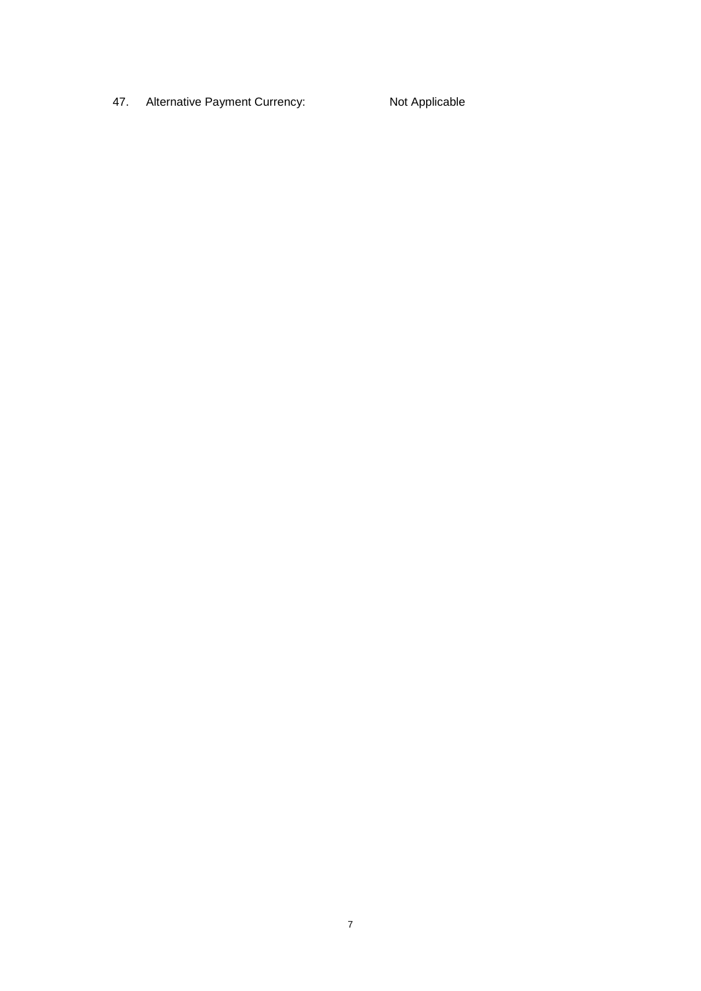47. Alternative Payment Currency: Not Applicable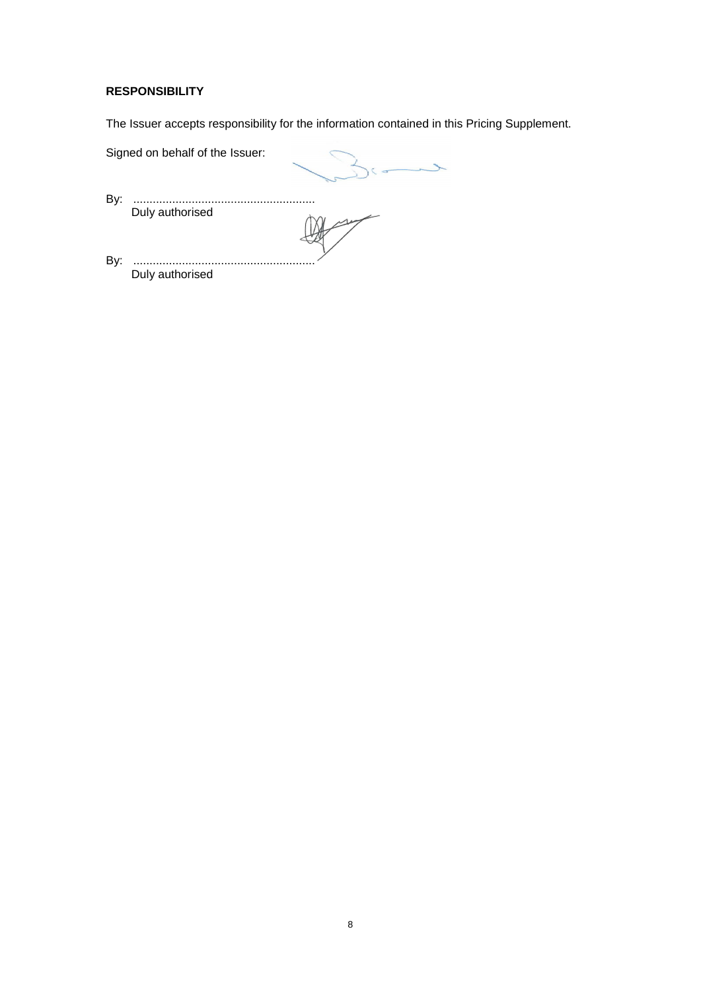# **RESPONSIBILITY**

The Issuer accepts responsibility for the information contained in this Pricing Supplement.

|     | Signed on behalf of the Issuer: |  |
|-----|---------------------------------|--|
| By: | Duly authorised                 |  |
| By: | Duly authorised                 |  |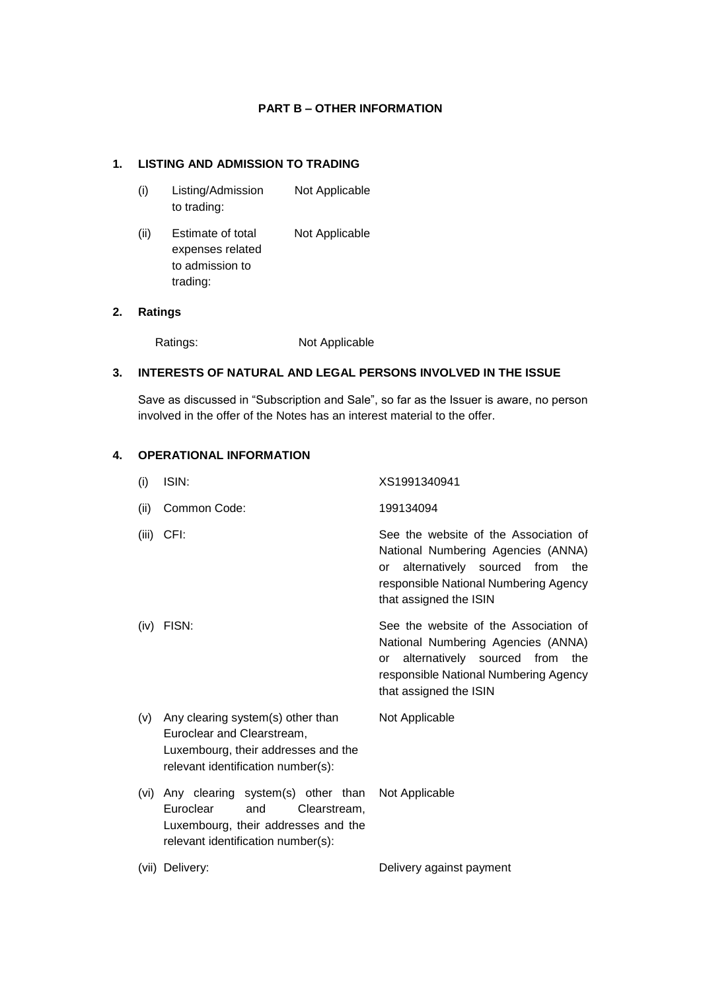## **PART B – OTHER INFORMATION**

## **1. LISTING AND ADMISSION TO TRADING**

- (i) Listing/Admission to trading: Not Applicable
- (ii) Estimate of total expenses related to admission to trading: Not Applicable

## **2. Ratings**

Ratings: Not Applicable

## **3. INTERESTS OF NATURAL AND LEGAL PERSONS INVOLVED IN THE ISSUE**

Save as discussed in "Subscription and Sale", so far as the Issuer is aware, no person involved in the offer of the Notes has an interest material to the offer.

## **4. OPERATIONAL INFORMATION**

| (i)   | ISIN:                                                                                                                                              | XS1991340941                                                                                                                                                                              |
|-------|----------------------------------------------------------------------------------------------------------------------------------------------------|-------------------------------------------------------------------------------------------------------------------------------------------------------------------------------------------|
| (ii)  | Common Code:                                                                                                                                       | 199134094                                                                                                                                                                                 |
| (iii) | CFI:                                                                                                                                               | See the website of the Association of<br>National Numbering Agencies (ANNA)<br>alternatively sourced from<br>the<br>or<br>responsible National Numbering Agency<br>that assigned the ISIN |
| (iv)  | FISN:                                                                                                                                              | See the website of the Association of<br>National Numbering Agencies (ANNA)<br>alternatively sourced from<br>the<br>or<br>responsible National Numbering Agency<br>that assigned the ISIN |
| (v)   | Any clearing system(s) other than<br>Euroclear and Clearstream,<br>Luxembourg, their addresses and the<br>relevant identification number(s):       | Not Applicable                                                                                                                                                                            |
| (vi)  | Any clearing system(s) other than<br>Euroclear<br>and<br>Clearstream.<br>Luxembourg, their addresses and the<br>relevant identification number(s): | Not Applicable                                                                                                                                                                            |
|       | (vii) Delivery:                                                                                                                                    | Delivery against payment                                                                                                                                                                  |
|       |                                                                                                                                                    |                                                                                                                                                                                           |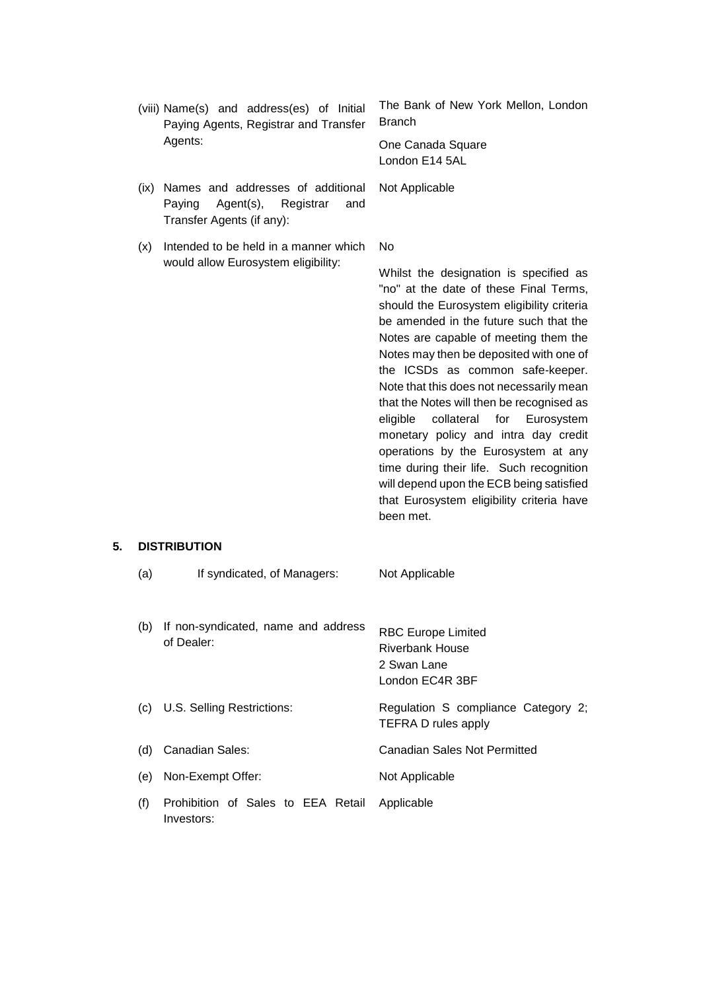| (viii) Name(s) and address(es) of Initial<br>Paying Agents, Registrar and Transfer<br>Agents:                     | The Bank of New York Mellon, London<br><b>Branch</b><br>One Canada Square                                                                                                                                                                                                                                                                                                                                                                                                                                                                                                                                                                                                 |
|-------------------------------------------------------------------------------------------------------------------|---------------------------------------------------------------------------------------------------------------------------------------------------------------------------------------------------------------------------------------------------------------------------------------------------------------------------------------------------------------------------------------------------------------------------------------------------------------------------------------------------------------------------------------------------------------------------------------------------------------------------------------------------------------------------|
|                                                                                                                   | London E14 5AL                                                                                                                                                                                                                                                                                                                                                                                                                                                                                                                                                                                                                                                            |
| Names and addresses of additional<br>(ix)<br>Agent(s),<br>Paying<br>Registrar<br>and<br>Transfer Agents (if any): | Not Applicable                                                                                                                                                                                                                                                                                                                                                                                                                                                                                                                                                                                                                                                            |
| Intended to be held in a manner which<br>(x)                                                                      | N <sub>o</sub>                                                                                                                                                                                                                                                                                                                                                                                                                                                                                                                                                                                                                                                            |
| would allow Eurosystem eligibility:                                                                               | Whilst the designation is specified as<br>"no" at the date of these Final Terms,<br>should the Eurosystem eligibility criteria<br>be amended in the future such that the<br>Notes are capable of meeting them the<br>Notes may then be deposited with one of<br>the ICSDs as common safe-keeper.<br>Note that this does not necessarily mean<br>that the Notes will then be recognised as<br>collateral<br>eligible<br>for<br>Eurosystem<br>monetary policy and intra day credit<br>operations by the Eurosystem at any<br>time during their life. Such recognition<br>will depend upon the ECB being satisfied<br>that Eurosystem eligibility criteria have<br>been met. |
| <b>DISTRIBUTION</b>                                                                                               |                                                                                                                                                                                                                                                                                                                                                                                                                                                                                                                                                                                                                                                                           |
| If syndicated, of Managers:<br>(a)                                                                                | Not Applicable                                                                                                                                                                                                                                                                                                                                                                                                                                                                                                                                                                                                                                                            |
| If non-syndicated, name and address<br>(b)<br>of Dealer:                                                          | <b>RBC Europe Limited</b><br><b>Riverbank House</b><br>2 Swan Lane<br>London EC4R 3BF                                                                                                                                                                                                                                                                                                                                                                                                                                                                                                                                                                                     |
| U.S. Selling Restrictions:<br>(c)                                                                                 | Regulation S compliance Category 2;<br>TEFRA D rules apply                                                                                                                                                                                                                                                                                                                                                                                                                                                                                                                                                                                                                |
| <b>Canadian Sales:</b><br>(d)                                                                                     | <b>Canadian Sales Not Permitted</b>                                                                                                                                                                                                                                                                                                                                                                                                                                                                                                                                                                                                                                       |
| Non-Exempt Offer:<br>(e)                                                                                          | Not Applicable                                                                                                                                                                                                                                                                                                                                                                                                                                                                                                                                                                                                                                                            |
| Prohibition of Sales to EEA Retail<br>(f)<br>Investors:                                                           | Applicable                                                                                                                                                                                                                                                                                                                                                                                                                                                                                                                                                                                                                                                                |

**5. DISTRIBUTION**